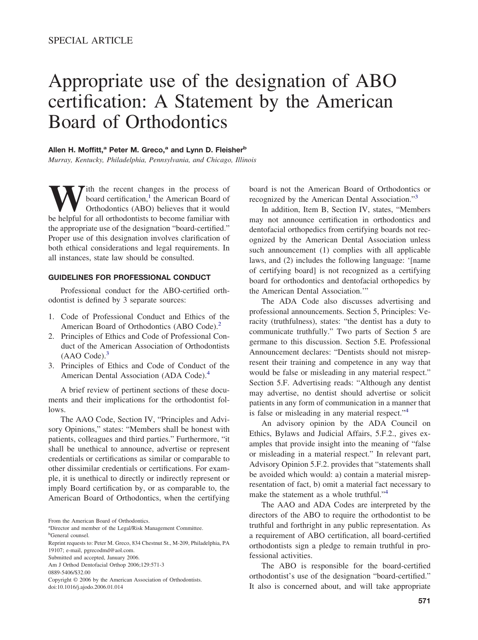# Appropriate use of the designation of ABO certification: A Statement by the American Board of Orthodontics

# Allen H. Moffitt,<sup>a</sup> Peter M. Greco,<sup>a</sup> and Lynn D. Fleisher<sup>b</sup>

*Murray, Kentucky, Philadelphia, Pennsylvania, and Chicago, Illinois*

**W**ith the recent changes in the process of board certification,<sup>1</sup> the American Board of Orthodontics (ABO) believes that it would be helpful for all orthodontists to become familiar with the appropriate use of the designation "board-certified." Proper use of this designation involves clarification of both ethical considerations and legal requirements. In all instances, state law should be consulted.

# **GUIDELINES FOR PROFESSIONAL CONDUCT**

Professional conduct for the ABO-certified orthodontist is defined by 3 separate sources:

- 1. Code of Professional Conduct and Ethics of the American Board of Orthodontics (ABO Code).<sup>2</sup>
- 2. Principles of Ethics and Code of Professional Conduct of the American Association of Orthodontists  $(AAO Code)<sup>3</sup>$
- 3. Principles of Ethics and Code of Conduct of the American Dental Association (ADA Code).<sup>4</sup>

A brief review of pertinent sections of these documents and their implications for the orthodontist follows.

The AAO Code, Section IV, "Principles and Advisory Opinions," states: "Members shall be honest with patients, colleagues and third parties." Furthermore, "it shall be unethical to announce, advertise or represent credentials or certifications as similar or comparable to other dissimilar credentials or certifications. For example, it is unethical to directly or indirectly represent or imply Board certification by, or as comparable to, the American Board of Orthodontics, when the certifying board is not the American Board of Orthodontics or recognized by the American Dental Association.["3](#page-2-0)

In addition, Item B, Section IV, states, "Members may not announce certification in orthodontics and dentofacial orthopedics from certifying boards not recognized by the American Dental Association unless such announcement (1) complies with all applicable laws, and (2) includes the following language: '[name of certifying board] is not recognized as a certifying board for orthodontics and dentofacial orthopedics by the American Dental Association.'"

The ADA Code also discusses advertising and professional announcements. Section 5, Principles: Veracity (truthfulness), states: "the dentist has a duty to communicate truthfully." Two parts of Section 5 are germane to this discussion. Section 5.E. Professional Announcement declares: "Dentists should not misrepresent their training and competence in any way that would be false or misleading in any material respect." Section 5.F. Advertising reads: "Although any dentist may advertise, no dentist should advertise or solicit patients in any form of communication in a manner that is false or misleading in any material respect.["4](#page-2-0)

An advisory opinion by the ADA Council on Ethics, Bylaws and Judicial Affairs, 5.F.2., gives examples that provide insight into the meaning of "false or misleading in a material respect." In relevant part, Advisory Opinion 5.F.2. provides that "statements shall be avoided which would: a) contain a material misrepresentation of fact, b) omit a material fact necessary to make the statement as a whole truthful."<sup>4</sup>

The AAO and ADA Codes are interpreted by the directors of the ABO to require the orthodontist to be truthful and forthright in any public representation. As a requirement of ABO certification, all board-certified orthodontists sign a pledge to remain truthful in professional activities.

The ABO is responsible for the board-certified orthodontist's use of the designation "board-certified." It also is concerned about, and will take appropriate

From the American Board of Orthodontics.

a Director and member of the Legal/Risk Management Committee. <sup>b</sup>General counsel.

Reprint requests to: Peter M. Greco, 834 Chestnut St., M-209, Philadelphia, PA

<sup>19107;</sup> e-mail, pgrecodmd@aol.com.

Submitted and accepted, January 2006.

Am J Orthod Dentofacial Orthop 2006;129:571-3

<sup>0889-5406/\$32.00</sup>

Copyright © 2006 by the American Association of Orthodontists. doi:10.1016/j.ajodo.2006.01.014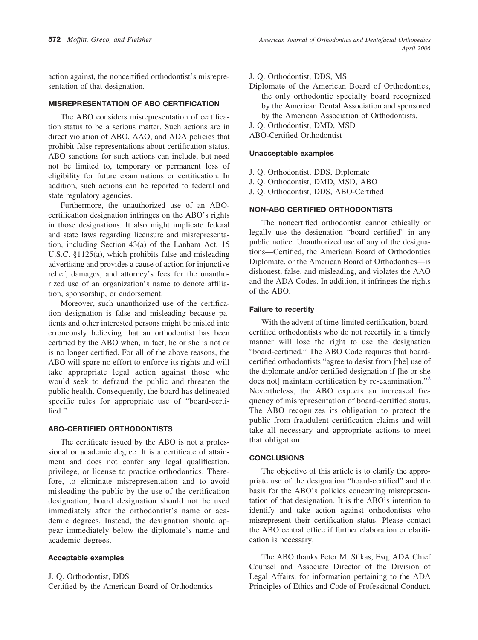action against, the noncertified orthodontist's misrepresentation of that designation.

# **MISREPRESENTATION OF ABO CERTIFICATION**

The ABO considers misrepresentation of certification status to be a serious matter. Such actions are in direct violation of ABO, AAO, and ADA policies that prohibit false representations about certification status. ABO sanctions for such actions can include, but need not be limited to, temporary or permanent loss of eligibility for future examinations or certification. In addition, such actions can be reported to federal and state regulatory agencies.

Furthermore, the unauthorized use of an ABOcertification designation infringes on the ABO's rights in those designations. It also might implicate federal and state laws regarding licensure and misrepresentation, including Section 43(a) of the Lanham Act, 15 U.S.C. §1125(a), which prohibits false and misleading advertising and provides a cause of action for injunctive relief, damages, and attorney's fees for the unauthorized use of an organization's name to denote affiliation, sponsorship, or endorsement.

Moreover, such unauthorized use of the certification designation is false and misleading because patients and other interested persons might be misled into erroneously believing that an orthodontist has been certified by the ABO when, in fact, he or she is not or is no longer certified. For all of the above reasons, the ABO will spare no effort to enforce its rights and will take appropriate legal action against those who would seek to defraud the public and threaten the public health. Consequently, the board has delineated specific rules for appropriate use of "board-certified."

## **ABO-CERTIFIED ORTHODONTISTS**

The certificate issued by the ABO is not a professional or academic degree. It is a certificate of attainment and does not confer any legal qualification, privilege, or license to practice orthodontics. Therefore, to eliminate misrepresentation and to avoid misleading the public by the use of the certification designation, board designation should not be used immediately after the orthodontist's name or academic degrees. Instead, the designation should appear immediately below the diplomate's name and academic degrees.

# **Acceptable examples**

J. Q. Orthodontist, DDS Certified by the American Board of Orthodontics

#### J. Q. Orthodontist, DDS, MS

- Diplomate of the American Board of Orthodontics, the only orthodontic specialty board recognized by the American Dental Association and sponsored by the American Association of Orthodontists.
- J. Q. Orthodontist, DMD, MSD

ABO-Certified Orthodontist

#### **Unacceptable examples**

- J. Q. Orthodontist, DDS, Diplomate
- J. Q. Orthodontist, DMD, MSD, ABO
- J. Q. Orthodontist, DDS, ABO-Certified

# **NON-ABO CERTIFIED ORTHODONTISTS**

The noncertified orthodontist cannot ethically or legally use the designation "board certified" in any public notice. Unauthorized use of any of the designations—Certified, the American Board of Orthodontics Diplomate, or the American Board of Orthodontics—is dishonest, false, and misleading, and violates the AAO and the ADA Codes. In addition, it infringes the rights of the ABO.

#### **Failure to recertify**

With the advent of time-limited certification, boardcertified orthodontists who do not recertify in a timely manner will lose the right to use the designation "board-certified." The ABO Code requires that boardcertified orthodontists "agree to desist from [the] use of the diplomate and/or certified designation if [he or she does not] maintain certification by re-examination."<sup>[2](#page-2-0)</sup> Nevertheless, the ABO expects an increased frequency of misrepresentation of board-certified status. The ABO recognizes its obligation to protect the public from fraudulent certification claims and will take all necessary and appropriate actions to meet that obligation.

## **CONCLUSIONS**

The objective of this article is to clarify the appropriate use of the designation "board-certified" and the basis for the ABO's policies concerning misrepresentation of that designation. It is the ABO's intention to identify and take action against orthodontists who misrepresent their certification status. Please contact the ABO central office if further elaboration or clarification is necessary.

The ABO thanks Peter M. Sfikas, Esq, ADA Chief Counsel and Associate Director of the Division of Legal Affairs, for information pertaining to the ADA Principles of Ethics and Code of Professional Conduct.